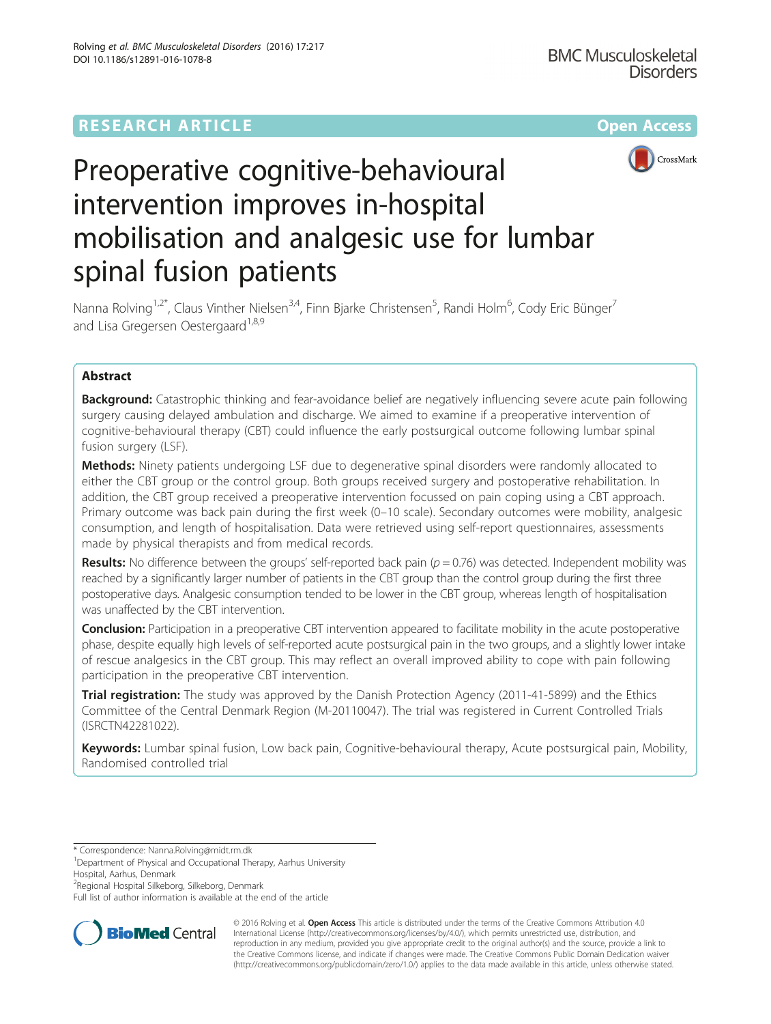

# Preoperative cognitive-behavioural intervention improves in-hospital mobilisation and analgesic use for lumbar spinal fusion patients

Nanna Rolving<sup>1,2\*</sup>, Claus Vinther Nielsen<sup>3,4</sup>, Finn Bjarke Christensen<sup>5</sup>, Randi Holm<sup>6</sup>, Cody Eric Bünger<sup>7</sup> and Lisa Gregersen Oestergaard<sup>1,8,9</sup>

# Abstract

Background: Catastrophic thinking and fear-avoidance belief are negatively influencing severe acute pain following surgery causing delayed ambulation and discharge. We aimed to examine if a preoperative intervention of cognitive-behavioural therapy (CBT) could influence the early postsurgical outcome following lumbar spinal fusion surgery (LSF).

Methods: Ninety patients undergoing LSF due to degenerative spinal disorders were randomly allocated to either the CBT group or the control group. Both groups received surgery and postoperative rehabilitation. In addition, the CBT group received a preoperative intervention focussed on pain coping using a CBT approach. Primary outcome was back pain during the first week (0–10 scale). Secondary outcomes were mobility, analgesic consumption, and length of hospitalisation. Data were retrieved using self-report questionnaires, assessments made by physical therapists and from medical records.

**Results:** No difference between the groups' self-reported back pain ( $p = 0.76$ ) was detected. Independent mobility was reached by a significantly larger number of patients in the CBT group than the control group during the first three postoperative days. Analgesic consumption tended to be lower in the CBT group, whereas length of hospitalisation was unaffected by the CBT intervention.

Conclusion: Participation in a preoperative CBT intervention appeared to facilitate mobility in the acute postoperative phase, despite equally high levels of self-reported acute postsurgical pain in the two groups, and a slightly lower intake of rescue analgesics in the CBT group. This may reflect an overall improved ability to cope with pain following participation in the preoperative CBT intervention.

**Trial registration:** The study was approved by the Danish Protection Agency (2011-41-5899) and the Ethics Committee of the Central Denmark Region (M-20110047). The trial was registered in Current Controlled Trials ([ISRCTN42281022\)](http://www.isrctn.com/search?q=ISRCTN42281022).

Keywords: Lumbar spinal fusion, Low back pain, Cognitive-behavioural therapy, Acute postsurgical pain, Mobility, Randomised controlled trial

Hospital, Aarhus, Denmark

<sup>2</sup>Regional Hospital Silkeborg, Silkeborg, Denmark

Full list of author information is available at the end of the article



© 2016 Rolving et al. Open Access This article is distributed under the terms of the Creative Commons Attribution 4.0 International License [\(http://creativecommons.org/licenses/by/4.0/](http://creativecommons.org/licenses/by/4.0/)), which permits unrestricted use, distribution, and reproduction in any medium, provided you give appropriate credit to the original author(s) and the source, provide a link to the Creative Commons license, and indicate if changes were made. The Creative Commons Public Domain Dedication waiver [\(http://creativecommons.org/publicdomain/zero/1.0/](http://creativecommons.org/publicdomain/zero/1.0/)) applies to the data made available in this article, unless otherwise stated.

<sup>\*</sup> Correspondence: [Nanna.Rolving@midt.rm.dk](mailto:Nanna.Rolving@midt.rm.dk) <sup>1</sup>

<sup>&</sup>lt;sup>1</sup>Department of Physical and Occupational Therapy, Aarhus University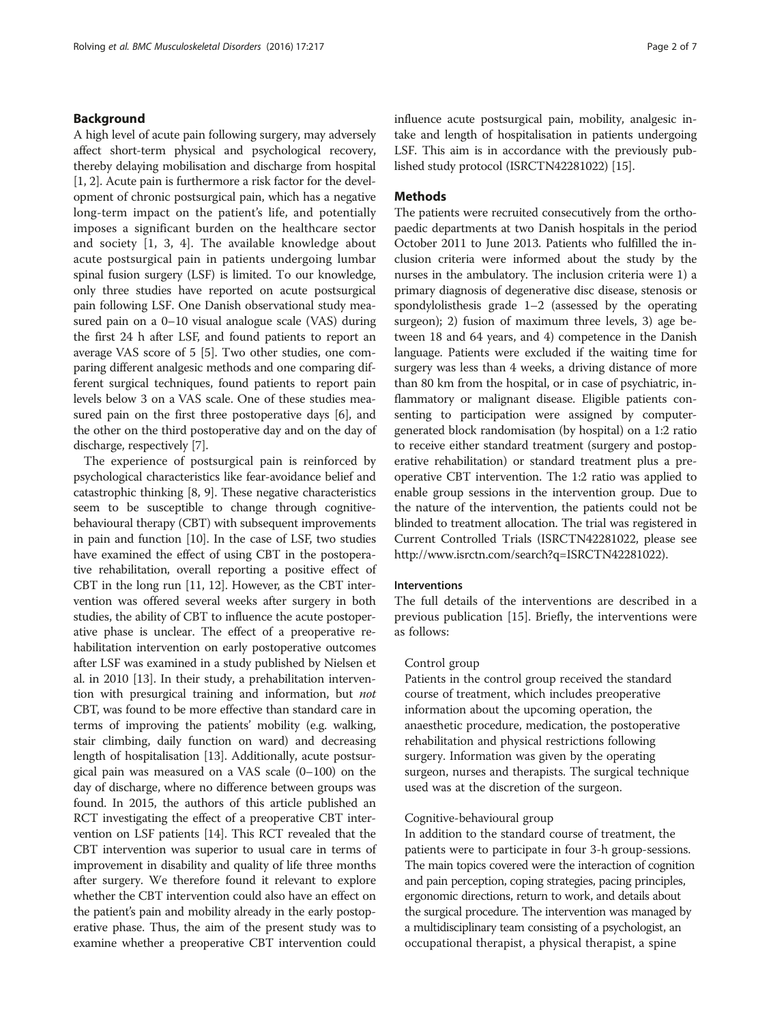## Background

A high level of acute pain following surgery, may adversely affect short-term physical and psychological recovery, thereby delaying mobilisation and discharge from hospital [[1, 2](#page-6-0)]. Acute pain is furthermore a risk factor for the development of chronic postsurgical pain, which has a negative long-term impact on the patient's life, and potentially imposes a significant burden on the healthcare sector and society [\[1](#page-6-0), [3, 4](#page-6-0)]. The available knowledge about acute postsurgical pain in patients undergoing lumbar spinal fusion surgery (LSF) is limited. To our knowledge, only three studies have reported on acute postsurgical pain following LSF. One Danish observational study measured pain on a 0–10 visual analogue scale (VAS) during the first 24 h after LSF, and found patients to report an average VAS score of 5 [\[5\]](#page-6-0). Two other studies, one comparing different analgesic methods and one comparing different surgical techniques, found patients to report pain levels below 3 on a VAS scale. One of these studies measured pain on the first three postoperative days [[6](#page-6-0)], and the other on the third postoperative day and on the day of discharge, respectively [\[7\]](#page-6-0).

The experience of postsurgical pain is reinforced by psychological characteristics like fear-avoidance belief and catastrophic thinking [[8, 9\]](#page-6-0). These negative characteristics seem to be susceptible to change through cognitivebehavioural therapy (CBT) with subsequent improvements in pain and function [[10](#page-6-0)]. In the case of LSF, two studies have examined the effect of using CBT in the postoperative rehabilitation, overall reporting a positive effect of CBT in the long run [\[11](#page-6-0), [12\]](#page-6-0). However, as the CBT intervention was offered several weeks after surgery in both studies, the ability of CBT to influence the acute postoperative phase is unclear. The effect of a preoperative rehabilitation intervention on early postoperative outcomes after LSF was examined in a study published by Nielsen et al. in 2010 [[13](#page-6-0)]. In their study, a prehabilitation intervention with presurgical training and information, but not CBT, was found to be more effective than standard care in terms of improving the patients' mobility (e.g. walking, stair climbing, daily function on ward) and decreasing length of hospitalisation [[13](#page-6-0)]. Additionally, acute postsurgical pain was measured on a VAS scale (0–100) on the day of discharge, where no difference between groups was found. In 2015, the authors of this article published an RCT investigating the effect of a preoperative CBT intervention on LSF patients [[14](#page-6-0)]. This RCT revealed that the CBT intervention was superior to usual care in terms of improvement in disability and quality of life three months after surgery. We therefore found it relevant to explore whether the CBT intervention could also have an effect on the patient's pain and mobility already in the early postoperative phase. Thus, the aim of the present study was to examine whether a preoperative CBT intervention could influence acute postsurgical pain, mobility, analgesic intake and length of hospitalisation in patients undergoing LSF. This aim is in accordance with the previously published study protocol (ISRCTN42281022) [[15](#page-6-0)].

## Methods

The patients were recruited consecutively from the orthopaedic departments at two Danish hospitals in the period October 2011 to June 2013. Patients who fulfilled the inclusion criteria were informed about the study by the nurses in the ambulatory. The inclusion criteria were 1) a primary diagnosis of degenerative disc disease, stenosis or spondylolisthesis grade 1–2 (assessed by the operating surgeon); 2) fusion of maximum three levels, 3) age between 18 and 64 years, and 4) competence in the Danish language. Patients were excluded if the waiting time for surgery was less than 4 weeks, a driving distance of more than 80 km from the hospital, or in case of psychiatric, inflammatory or malignant disease. Eligible patients consenting to participation were assigned by computergenerated block randomisation (by hospital) on a 1:2 ratio to receive either standard treatment (surgery and postoperative rehabilitation) or standard treatment plus a preoperative CBT intervention. The 1:2 ratio was applied to enable group sessions in the intervention group. Due to the nature of the intervention, the patients could not be blinded to treatment allocation. The trial was registered in Current Controlled Trials (ISRCTN42281022, please see <http://www.isrctn.com/search?q=ISRCTN42281022>).

## Interventions

The full details of the interventions are described in a previous publication [\[15\]](#page-6-0). Briefly, the interventions were as follows:

### Control group

Patients in the control group received the standard course of treatment, which includes preoperative information about the upcoming operation, the anaesthetic procedure, medication, the postoperative rehabilitation and physical restrictions following surgery. Information was given by the operating surgeon, nurses and therapists. The surgical technique used was at the discretion of the surgeon.

## Cognitive-behavioural group

In addition to the standard course of treatment, the patients were to participate in four 3-h group-sessions. The main topics covered were the interaction of cognition and pain perception, coping strategies, pacing principles, ergonomic directions, return to work, and details about the surgical procedure. The intervention was managed by a multidisciplinary team consisting of a psychologist, an occupational therapist, a physical therapist, a spine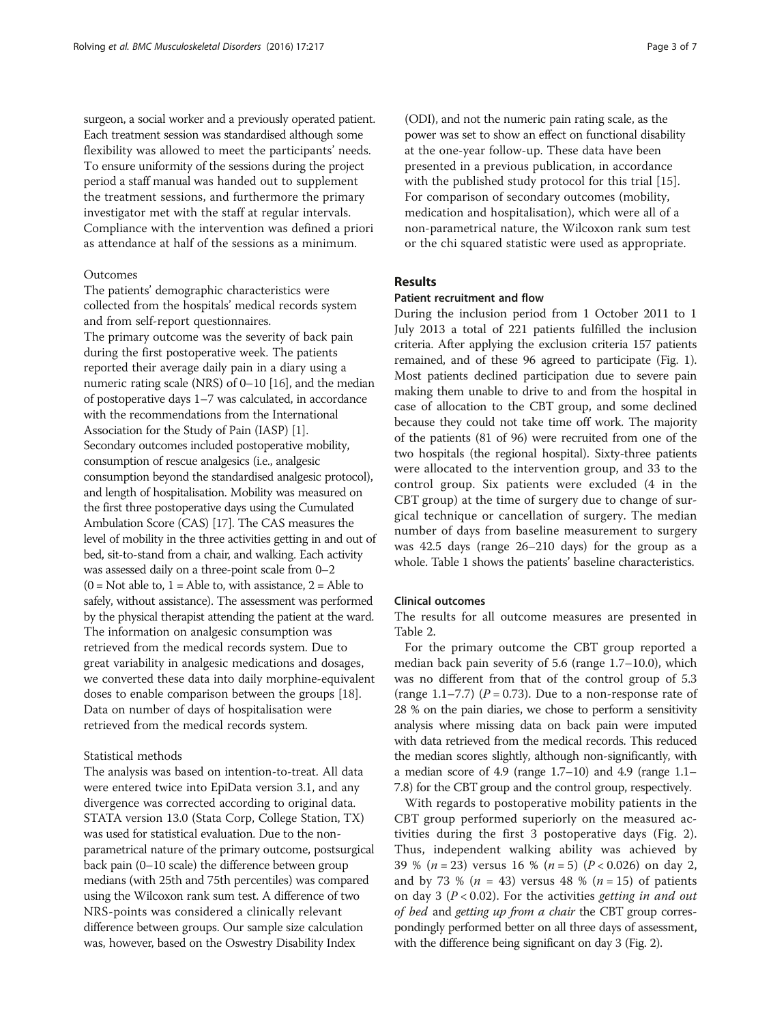surgeon, a social worker and a previously operated patient. Each treatment session was standardised although some flexibility was allowed to meet the participants' needs. To ensure uniformity of the sessions during the project period a staff manual was handed out to supplement the treatment sessions, and furthermore the primary investigator met with the staff at regular intervals. Compliance with the intervention was defined a priori as attendance at half of the sessions as a minimum.

## Outcomes

The patients' demographic characteristics were collected from the hospitals' medical records system and from self-report questionnaires.

The primary outcome was the severity of back pain during the first postoperative week. The patients reported their average daily pain in a diary using a numeric rating scale (NRS) of 0–10 [[16](#page-6-0)], and the median of postoperative days 1–7 was calculated, in accordance with the recommendations from the International Association for the Study of Pain (IASP) [[1](#page-6-0)]. Secondary outcomes included postoperative mobility, consumption of rescue analgesics (i.e., analgesic consumption beyond the standardised analgesic protocol), and length of hospitalisation. Mobility was measured on the first three postoperative days using the Cumulated Ambulation Score (CAS) [\[17](#page-6-0)]. The CAS measures the level of mobility in the three activities getting in and out of bed, sit-to-stand from a chair, and walking. Each activity was assessed daily on a three-point scale from 0–2  $(0 = Not able to, 1 = Abel to, with assistance, 2 = Abel to)$ safely, without assistance). The assessment was performed by the physical therapist attending the patient at the ward. The information on analgesic consumption was retrieved from the medical records system. Due to great variability in analgesic medications and dosages, we converted these data into daily morphine-equivalent doses to enable comparison between the groups [[18](#page-6-0)]. Data on number of days of hospitalisation were retrieved from the medical records system.

## Statistical methods

The analysis was based on intention-to-treat. All data were entered twice into EpiData version 3.1, and any divergence was corrected according to original data. STATA version 13.0 (Stata Corp, College Station, TX) was used for statistical evaluation. Due to the nonparametrical nature of the primary outcome, postsurgical back pain (0–10 scale) the difference between group medians (with 25th and 75th percentiles) was compared using the Wilcoxon rank sum test. A difference of two NRS-points was considered a clinically relevant difference between groups. Our sample size calculation was, however, based on the Oswestry Disability Index

(ODI), and not the numeric pain rating scale, as the power was set to show an effect on functional disability at the one-year follow-up. These data have been presented in a previous publication, in accordance with the published study protocol for this trial [\[15](#page-6-0)]. For comparison of secondary outcomes (mobility, medication and hospitalisation), which were all of a non-parametrical nature, the Wilcoxon rank sum test or the chi squared statistic were used as appropriate.

## Results

## Patient recruitment and flow

During the inclusion period from 1 October 2011 to 1 July 2013 a total of 221 patients fulfilled the inclusion criteria. After applying the exclusion criteria 157 patients remained, and of these 96 agreed to participate (Fig. [1](#page-3-0)). Most patients declined participation due to severe pain making them unable to drive to and from the hospital in case of allocation to the CBT group, and some declined because they could not take time off work. The majority of the patients (81 of 96) were recruited from one of the two hospitals (the regional hospital). Sixty-three patients were allocated to the intervention group, and 33 to the control group. Six patients were excluded (4 in the CBT group) at the time of surgery due to change of surgical technique or cancellation of surgery. The median number of days from baseline measurement to surgery was 42.5 days (range 26–210 days) for the group as a whole. Table [1](#page-4-0) shows the patients' baseline characteristics.

## Clinical outcomes

The results for all outcome measures are presented in Table [2.](#page-4-0)

For the primary outcome the CBT group reported a median back pain severity of 5.6 (range 1.7–10.0), which was no different from that of the control group of 5.3 (range 1.1–7.7) ( $P = 0.73$ ). Due to a non-response rate of 28 % on the pain diaries, we chose to perform a sensitivity analysis where missing data on back pain were imputed with data retrieved from the medical records. This reduced the median scores slightly, although non-significantly, with a median score of 4.9 (range 1.7–10) and 4.9 (range 1.1– 7.8) for the CBT group and the control group, respectively.

With regards to postoperative mobility patients in the CBT group performed superiorly on the measured activities during the first 3 postoperative days (Fig. [2](#page-5-0)). Thus, independent walking ability was achieved by 39 % ( $n = 23$ ) versus 16 % ( $n = 5$ ) ( $P < 0.026$ ) on day 2, and by 73 % ( $n = 43$ ) versus 48 % ( $n = 15$ ) of patients on day 3 ( $P < 0.02$ ). For the activities *getting in and out* of bed and getting up from a chair the CBT group correspondingly performed better on all three days of assessment, with the difference being significant on day 3 (Fig. [2\)](#page-5-0).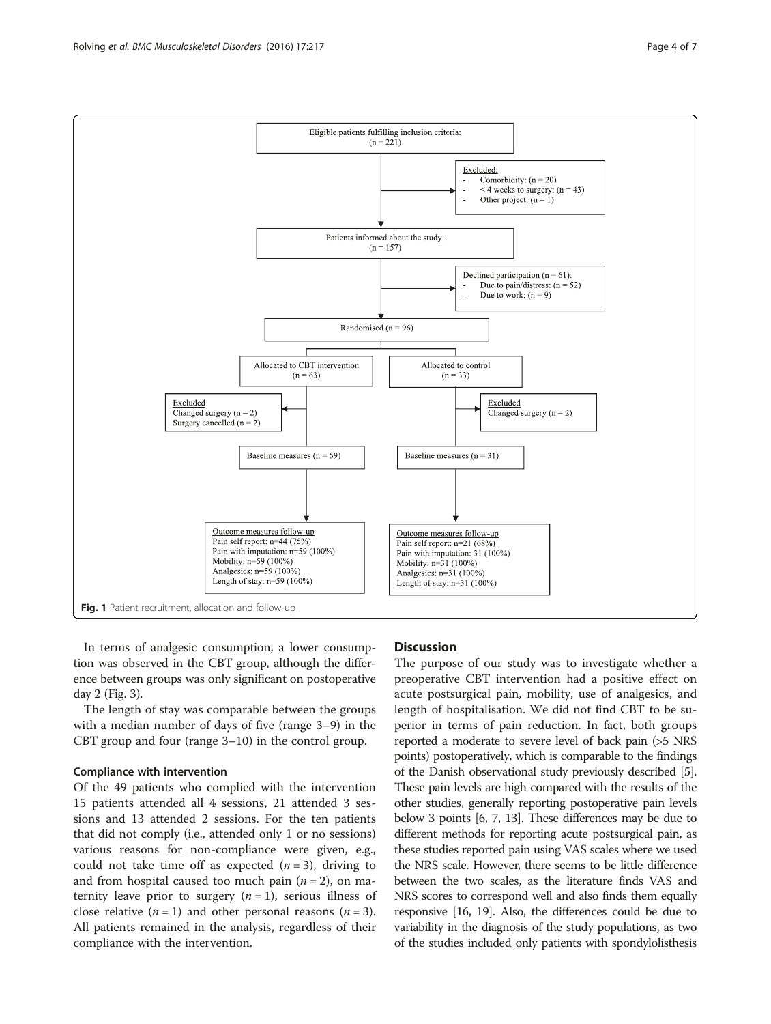<span id="page-3-0"></span>

In terms of analgesic consumption, a lower consumption was observed in the CBT group, although the difference between groups was only significant on postoperative day 2 (Fig. [3](#page-5-0)).

The length of stay was comparable between the groups with a median number of days of five (range 3–9) in the CBT group and four (range 3–10) in the control group.

## Compliance with intervention

Of the 49 patients who complied with the intervention 15 patients attended all 4 sessions, 21 attended 3 sessions and 13 attended 2 sessions. For the ten patients that did not comply (i.e., attended only 1 or no sessions) various reasons for non-compliance were given, e.g., could not take time off as expected  $(n=3)$ , driving to and from hospital caused too much pain  $(n = 2)$ , on maternity leave prior to surgery  $(n = 1)$ , serious illness of close relative  $(n = 1)$  and other personal reasons  $(n = 3)$ . All patients remained in the analysis, regardless of their compliance with the intervention.

### **Discussion**

The purpose of our study was to investigate whether a preoperative CBT intervention had a positive effect on acute postsurgical pain, mobility, use of analgesics, and length of hospitalisation. We did not find CBT to be superior in terms of pain reduction. In fact, both groups reported a moderate to severe level of back pain (>5 NRS points) postoperatively, which is comparable to the findings of the Danish observational study previously described [[5](#page-6-0)]. These pain levels are high compared with the results of the other studies, generally reporting postoperative pain levels below 3 points [\[6, 7, 13\]](#page-6-0). These differences may be due to different methods for reporting acute postsurgical pain, as these studies reported pain using VAS scales where we used the NRS scale. However, there seems to be little difference between the two scales, as the literature finds VAS and NRS scores to correspond well and also finds them equally responsive [[16](#page-6-0), [19\]](#page-6-0). Also, the differences could be due to variability in the diagnosis of the study populations, as two of the studies included only patients with spondylolisthesis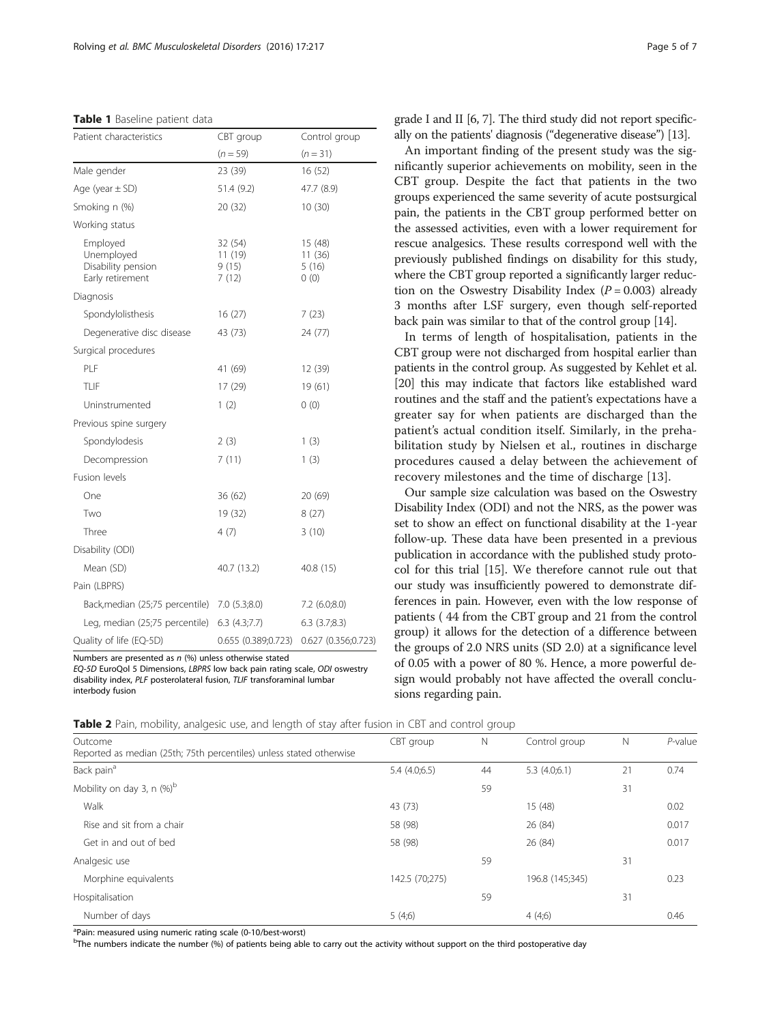<span id="page-4-0"></span>

| Table 1 Baseline patient data |  |
|-------------------------------|--|
|-------------------------------|--|

| Patient characteristics                                          | CBT group                            | Control group                      |  |  |
|------------------------------------------------------------------|--------------------------------------|------------------------------------|--|--|
|                                                                  | $(n = 59)$                           | $(n = 31)$                         |  |  |
| Male gender                                                      | 23 (39)                              | 16 (52)                            |  |  |
| Age (year $\pm$ SD)                                              | 51.4 (9.2)                           | 47.7 (8.9)                         |  |  |
| Smoking n (%)                                                    | 20 (32)                              | 10(30)                             |  |  |
| Working status                                                   |                                      |                                    |  |  |
| Employed<br>Unemployed<br>Disability pension<br>Early retirement | 32 (54)<br>11 (19)<br>9(15)<br>7(12) | 15 (48)<br>11(36)<br>5(16)<br>0(0) |  |  |
| Diagnosis                                                        |                                      |                                    |  |  |
| Spondylolisthesis                                                | 16(27)                               | 7(23)                              |  |  |
| Degenerative disc disease                                        | 43 (73)                              | 24 (77)                            |  |  |
| Surgical procedures                                              |                                      |                                    |  |  |
| PLF                                                              | 41 (69)                              | 12 (39)                            |  |  |
| TLIF                                                             | 17 (29)                              | 19 (61)                            |  |  |
| Uninstrumented                                                   | 1(2)                                 | 0(0)                               |  |  |
| Previous spine surgery                                           |                                      |                                    |  |  |
| Spondylodesis                                                    | 2(3)                                 | 1(3)                               |  |  |
| Decompression                                                    | 7(11)                                | 1(3)                               |  |  |
| Fusion levels                                                    |                                      |                                    |  |  |
| One                                                              | 36 (62)                              | 20 (69)                            |  |  |
| Two                                                              | 19 (32)                              | 8(27)                              |  |  |
| Three                                                            | 4(7)                                 | 3(10)                              |  |  |
| Disability (ODI)                                                 |                                      |                                    |  |  |
| Mean (SD)                                                        | 40.7 (13.2)                          | 40.8 (15)                          |  |  |
| Pain (LBPRS)                                                     |                                      |                                    |  |  |
| Back, median (25;75 percentile)                                  | 7.0(5.3;8.0)                         | $7.2$ (6.0;8.0)                    |  |  |
| Leg, median (25;75 percentile)                                   | 6.3(4.3;7.7)                         | $6.3$ $(3.7;8.3)$                  |  |  |
| Quality of life (EQ-5D)                                          | 0.655 (0.389;0.723)                  | 0.627 (0.356;0.723)                |  |  |

Numbers are presented as  $n$  (%) unless otherwise stated EQ-5D EuroQol 5 Dimensions, LBPRS low back pain rating scale, ODI oswestry disability index, PLF posterolateral fusion, TLIF transforaminal lumbar interbody fusion

grade I and II [\[6](#page-6-0), [7\]](#page-6-0). The third study did not report specifically on the patients' diagnosis ("degenerative disease") [\[13](#page-6-0)].

An important finding of the present study was the significantly superior achievements on mobility, seen in the CBT group. Despite the fact that patients in the two groups experienced the same severity of acute postsurgical pain, the patients in the CBT group performed better on the assessed activities, even with a lower requirement for rescue analgesics. These results correspond well with the previously published findings on disability for this study, where the CBT group reported a significantly larger reduction on the Oswestry Disability Index ( $P = 0.003$ ) already 3 months after LSF surgery, even though self-reported back pain was similar to that of the control group [\[14\]](#page-6-0).

In terms of length of hospitalisation, patients in the CBT group were not discharged from hospital earlier than patients in the control group. As suggested by Kehlet et al. [[20](#page-6-0)] this may indicate that factors like established ward routines and the staff and the patient's expectations have a greater say for when patients are discharged than the patient's actual condition itself. Similarly, in the prehabilitation study by Nielsen et al., routines in discharge procedures caused a delay between the achievement of recovery milestones and the time of discharge [[13](#page-6-0)].

Our sample size calculation was based on the Oswestry Disability Index (ODI) and not the NRS, as the power was set to show an effect on functional disability at the 1-year follow-up. These data have been presented in a previous publication in accordance with the published study protocol for this trial [\[15\]](#page-6-0). We therefore cannot rule out that our study was insufficiently powered to demonstrate differences in pain. However, even with the low response of patients ( 44 from the CBT group and 21 from the control group) it allows for the detection of a difference between the groups of 2.0 NRS units (SD 2.0) at a significance level of 0.05 with a power of 80 %. Hence, a more powerful design would probably not have affected the overall conclusions regarding pain.

| Table 2 Pain, mobility, analgesic use, and length of stay after fusion in CBT and control group |  |  |
|-------------------------------------------------------------------------------------------------|--|--|
|-------------------------------------------------------------------------------------------------|--|--|

| Outcome                                                             | CBT group      | $\mathbb N$ | Control group   | N  | $P$ -value |
|---------------------------------------------------------------------|----------------|-------------|-----------------|----|------------|
| Reported as median (25th; 75th percentiles) unless stated otherwise |                |             |                 |    |            |
| Back pain <sup>a</sup>                                              | 5.4(4.0;6.5)   | 44          | 5.3(4.0;6.1)    | 21 | 0.74       |
| Mobility on day 3, n $(\%)^b$                                       |                | 59          |                 | 31 |            |
| Walk                                                                | 43 (73)        |             | 15 (48)         |    | 0.02       |
| Rise and sit from a chair                                           | 58 (98)        |             | 26 (84)         |    | 0.017      |
| Get in and out of bed                                               | 58 (98)        |             | 26 (84)         |    | 0.017      |
| Analgesic use                                                       |                | 59          |                 | 31 |            |
| Morphine equivalents                                                | 142.5 (70;275) |             | 196.8 (145;345) |    | 0.23       |
| Hospitalisation                                                     |                | 59          |                 | 31 |            |
| Number of days                                                      | 5(4,6)         |             | 4(4,6)          |    | 0.46       |

<sup>a</sup>Pain: measured using numeric rating scale (0-10/best-worst)

<sup>b</sup>The numbers indicate the number (%) of patients being able to carry out the activity without support on the third postoperative day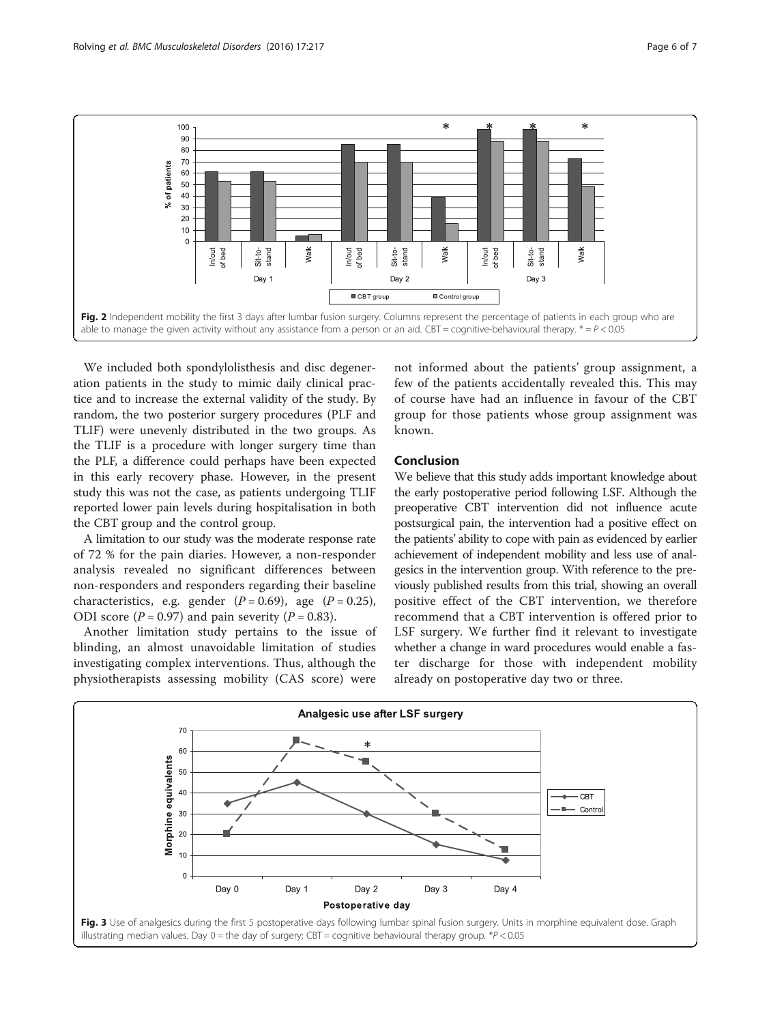<span id="page-5-0"></span>

We included both spondylolisthesis and disc degeneration patients in the study to mimic daily clinical practice and to increase the external validity of the study. By random, the two posterior surgery procedures (PLF and TLIF) were unevenly distributed in the two groups. As the TLIF is a procedure with longer surgery time than the PLF, a difference could perhaps have been expected in this early recovery phase. However, in the present study this was not the case, as patients undergoing TLIF reported lower pain levels during hospitalisation in both the CBT group and the control group.

A limitation to our study was the moderate response rate of 72 % for the pain diaries. However, a non-responder analysis revealed no significant differences between non-responders and responders regarding their baseline characteristics, e.g. gender  $(P = 0.69)$ , age  $(P = 0.25)$ , ODI score ( $P = 0.97$ ) and pain severity ( $P = 0.83$ ).

Another limitation study pertains to the issue of blinding, an almost unavoidable limitation of studies investigating complex interventions. Thus, although the physiotherapists assessing mobility (CAS score) were

not informed about the patients' group assignment, a few of the patients accidentally revealed this. This may of course have had an influence in favour of the CBT group for those patients whose group assignment was known.

## Conclusion

We believe that this study adds important knowledge about the early postoperative period following LSF. Although the preoperative CBT intervention did not influence acute postsurgical pain, the intervention had a positive effect on the patients' ability to cope with pain as evidenced by earlier achievement of independent mobility and less use of analgesics in the intervention group. With reference to the previously published results from this trial, showing an overall positive effect of the CBT intervention, we therefore recommend that a CBT intervention is offered prior to LSF surgery. We further find it relevant to investigate whether a change in ward procedures would enable a faster discharge for those with independent mobility already on postoperative day two or three.